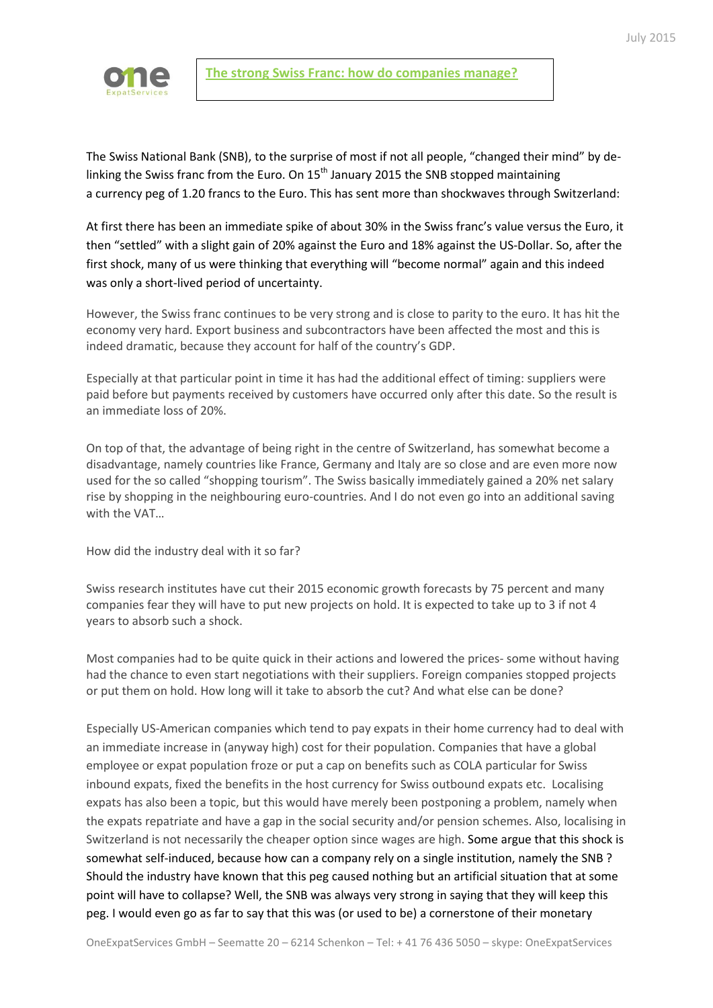

The Swiss National Bank (SNB), to the surprise of most if not all people, "changed their mind" by delinking the Swiss franc from the Euro. On  $15<sup>th</sup>$  January 2015 the SNB stopped maintaining a [currency](http://www.euronews.com/tag/currency/) peg of 1.20 francs to the Euro. This has sent more than shockwaves through Switzerland:

At first there has been an immediate spike of about 30% in the Swiss franc's value versus the Euro, it then "settled" with a slight gain of 20% against the Euro and 18% against the US-Dollar. So, after the first shock, many of us were thinking that everything will "become normal" again and this indeed was only a short-lived period of uncertainty.

However, the Swiss franc continues to be very strong and is close to parity to the euro. It has hit the economy very hard. Export business and subcontractors have been affected the most and this is indeed dramatic, because they account for half of the country's GDP.

Especially at that particular point in time it has had the additional effect of timing: suppliers were paid before but payments received by customers have occurred only after this date. So the result is an immediate loss of 20%.

On top of that, the advantage of being right in the centre of Switzerland, has somewhat become a disadvantage, namely countries like France, Germany and Italy are so close and are even more now used for the so called "shopping tourism". The Swiss basically immediately gained a 20% net salary rise by shopping in the neighbouring euro-countries. And I do not even go into an additional saving with the VAT…

How did the industry deal with it so far?

Swiss research institutes have cut their 2015 economic growth forecasts by 75 percent and many companies fear they will have to put new projects on hold. It is expected to take up to 3 if not 4 years to absorb such a shock.

Most companies had to be quite quick in their actions and lowered the prices- some without having had the chance to even start negotiations with their suppliers. Foreign companies stopped projects or put them on hold. How long will it take to absorb the cut? And what else can be done?

Especially US-American companies which tend to pay expats in their home currency had to deal with an immediate increase in (anyway high) cost for their population. Companies that have a global employee or expat population froze or put a cap on benefits such as COLA particular for Swiss inbound expats, fixed the benefits in the host currency for Swiss outbound expats etc. Localising expats has also been a topic, but this would have merely been postponing a problem, namely when the expats repatriate and have a gap in the social security and/or pension schemes. Also, localising in Switzerland is not necessarily the cheaper option since wages are high. Some argue that this shock is somewhat self-induced, because how can a company rely on a single institution, namely the SNB ? Should the industry have known that this peg caused nothing but an artificial situation that at some point will have to collapse? Well, the SNB was always very strong in saying that they will keep this peg. I would even go as far to say that this was (or used to be) a cornerstone of their monetary